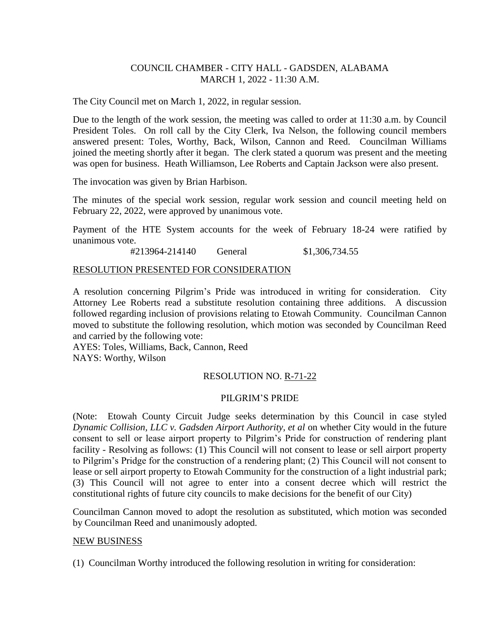# COUNCIL CHAMBER - CITY HALL - GADSDEN, ALABAMA MARCH 1, 2022 - 11:30 A.M.

The City Council met on March 1, 2022, in regular session.

Due to the length of the work session, the meeting was called to order at 11:30 a.m. by Council President Toles. On roll call by the City Clerk, Iva Nelson, the following council members answered present: Toles, Worthy, Back, Wilson, Cannon and Reed. Councilman Williams joined the meeting shortly after it began. The clerk stated a quorum was present and the meeting was open for business. Heath Williamson, Lee Roberts and Captain Jackson were also present.

The invocation was given by Brian Harbison.

The minutes of the special work session, regular work session and council meeting held on February 22, 2022, were approved by unanimous vote.

Payment of the HTE System accounts for the week of February 18-24 were ratified by unanimous vote.

#213964-214140 General \$1,306,734.55

#### RESOLUTION PRESENTED FOR CONSIDERATION

A resolution concerning Pilgrim's Pride was introduced in writing for consideration. City Attorney Lee Roberts read a substitute resolution containing three additions. A discussion followed regarding inclusion of provisions relating to Etowah Community. Councilman Cannon moved to substitute the following resolution, which motion was seconded by Councilman Reed and carried by the following vote:

AYES: Toles, Williams, Back, Cannon, Reed NAYS: Worthy, Wilson

### RESOLUTION NO. R-71-22

### PILGRIM'S PRIDE

(Note: Etowah County Circuit Judge seeks determination by this Council in case styled *Dynamic Collision, LLC v. Gadsden Airport Authority, et al on whether City would in the future* consent to sell or lease airport property to Pilgrim's Pride for construction of rendering plant facility *-* Resolving as follows: (1) This Council will not consent to lease or sell airport property to Pilgrim's Pridge for the construction of a rendering plant; (2) This Council will not consent to lease or sell airport property to Etowah Community for the construction of a light industrial park; (3) This Council will not agree to enter into a consent decree which will restrict the constitutional rights of future city councils to make decisions for the benefit of our City)

Councilman Cannon moved to adopt the resolution as substituted, which motion was seconded by Councilman Reed and unanimously adopted.

### NEW BUSINESS

(1) Councilman Worthy introduced the following resolution in writing for consideration: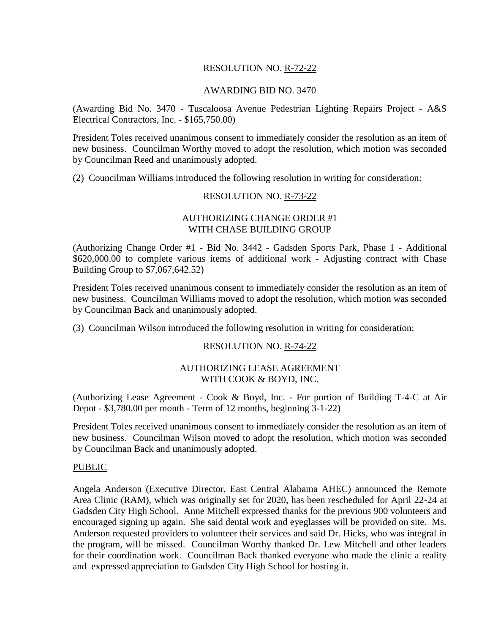# RESOLUTION NO. R-72-22

#### AWARDING BID NO. 3470

(Awarding Bid No. 3470 - Tuscaloosa Avenue Pedestrian Lighting Repairs Project - A&S Electrical Contractors, Inc. - \$165,750.00)

President Toles received unanimous consent to immediately consider the resolution as an item of new business. Councilman Worthy moved to adopt the resolution, which motion was seconded by Councilman Reed and unanimously adopted.

(2) Councilman Williams introduced the following resolution in writing for consideration:

### RESOLUTION NO. R-73-22

# AUTHORIZING CHANGE ORDER #1 WITH CHASE BUILDING GROUP

(Authorizing Change Order #1 - Bid No. 3442 - Gadsden Sports Park, Phase 1 - Additional \$620,000.00 to complete various items of additional work - Adjusting contract with Chase Building Group to \$7,067,642.52)

President Toles received unanimous consent to immediately consider the resolution as an item of new business. Councilman Williams moved to adopt the resolution, which motion was seconded by Councilman Back and unanimously adopted.

(3) Councilman Wilson introduced the following resolution in writing for consideration:

### RESOLUTION NO. R-74-22

### AUTHORIZING LEASE AGREEMENT WITH COOK & BOYD, INC.

(Authorizing Lease Agreement - Cook & Boyd, Inc. - For portion of Building T-4-C at Air Depot - \$3,780.00 per month - Term of 12 months, beginning 3-1-22)

President Toles received unanimous consent to immediately consider the resolution as an item of new business. Councilman Wilson moved to adopt the resolution, which motion was seconded by Councilman Back and unanimously adopted.

#### PUBLIC

Angela Anderson (Executive Director, East Central Alabama AHEC) announced the Remote Area Clinic (RAM), which was originally set for 2020, has been rescheduled for April 22-24 at Gadsden City High School. Anne Mitchell expressed thanks for the previous 900 volunteers and encouraged signing up again. She said dental work and eyeglasses will be provided on site. Ms. Anderson requested providers to volunteer their services and said Dr. Hicks, who was integral in the program, will be missed. Councilman Worthy thanked Dr. Lew Mitchell and other leaders for their coordination work. Councilman Back thanked everyone who made the clinic a reality and expressed appreciation to Gadsden City High School for hosting it.